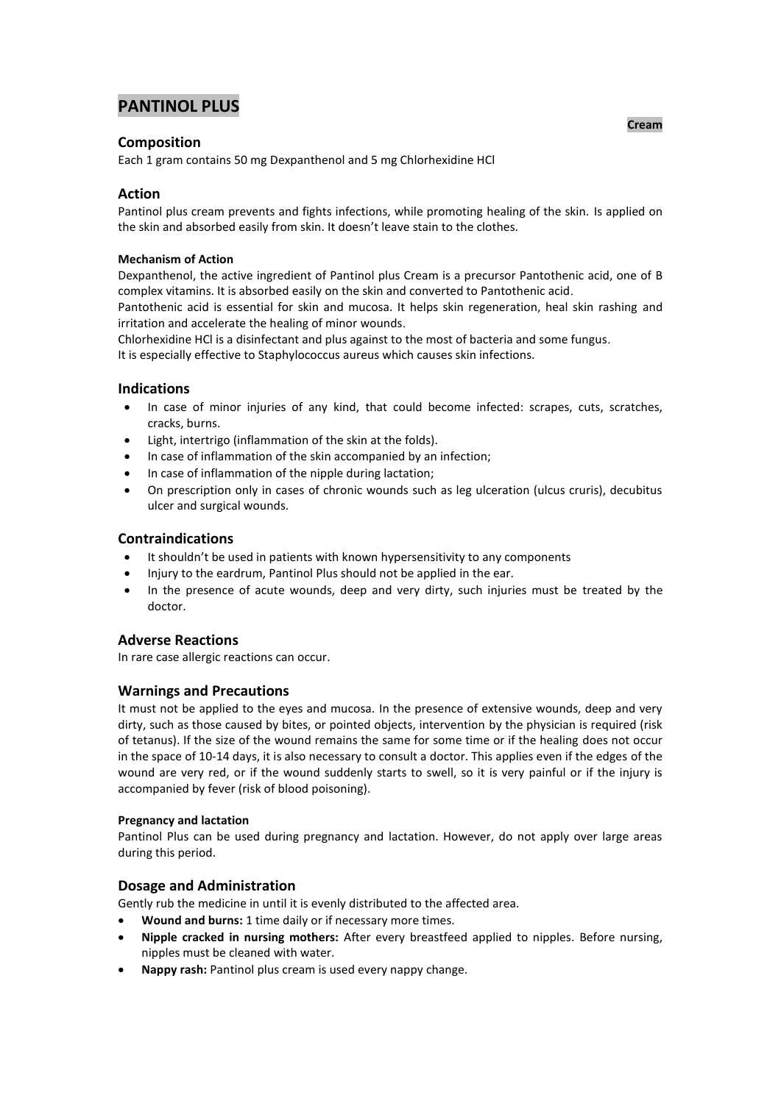# **PANTINOL PLUS**

### **Composition**

Each 1 gram contains 50 mg Dexpanthenol and 5 mg Chlorhexidine HCl

## **Action**

Pantinol plus cream prevents and fights infections, while promoting healing of the skin. Is applied on the skin and absorbed easily from skin. It doesn't leave stain to the clothes.

#### **Mechanism of Action**

Dexpanthenol, the active ingredient of Pantinol plus Cream is a precursor Pantothenic acid, one of B complex vitamins. It is absorbed easily on the skin and converted to Pantothenic acid.

Pantothenic acid is essential for skin and mucosa. It helps skin regeneration, heal skin rashing and irritation and accelerate the healing of minor wounds.

Chlorhexidine HCl is a disinfectant and plus against to the most of bacteria and some fungus.

It is especially effective to Staphylococcus aureus which causes skin infections.

## **Indications**

- In case of minor injuries of any kind, that could become infected: scrapes, cuts, scratches, cracks, burns.
- Light, intertrigo (inflammation of the skin at the folds).
- In case of inflammation of the skin accompanied by an infection;
- In case of inflammation of the nipple during lactation;
- On prescription only in cases of chronic wounds such as leg ulceration (ulcus cruris), decubitus ulcer and surgical wounds.

## **Contraindications**

- It shouldn't be used in patients with known hypersensitivity to any components
- Injury to the eardrum, Pantinol Plus should not be applied in the ear.
- In the presence of acute wounds, deep and very dirty, such injuries must be treated by the doctor.

### **Adverse Reactions**

In rare case allergic reactions can occur.

### **Warnings and Precautions**

It must not be applied to the eyes and mucosa. In the presence of extensive wounds, deep and very dirty, such as those caused by bites, or pointed objects, intervention by the physician is required (risk of tetanus). If the size of the wound remains the same for some time or if the healing does not occur in the space of 10-14 days, it is also necessary to consult a doctor. This applies even if the edges of the wound are very red, or if the wound suddenly starts to swell, so it is very painful or if the injury is accompanied by fever (risk of blood poisoning).

#### **Pregnancy and lactation**

Pantinol Plus can be used during pregnancy and lactation. However, do not apply over large areas during this period.

### **Dosage and Administration**

Gently rub the medicine in until it is evenly distributed to the affected area.

- **Wound and burns:** 1 time daily or if necessary more times.
- **Nipple cracked in nursing mothers:** After every breastfeed applied to nipples. Before nursing, nipples must be cleaned with water.
- **Nappy rash:** Pantinol plus cream is used every nappy change.

**Cream**